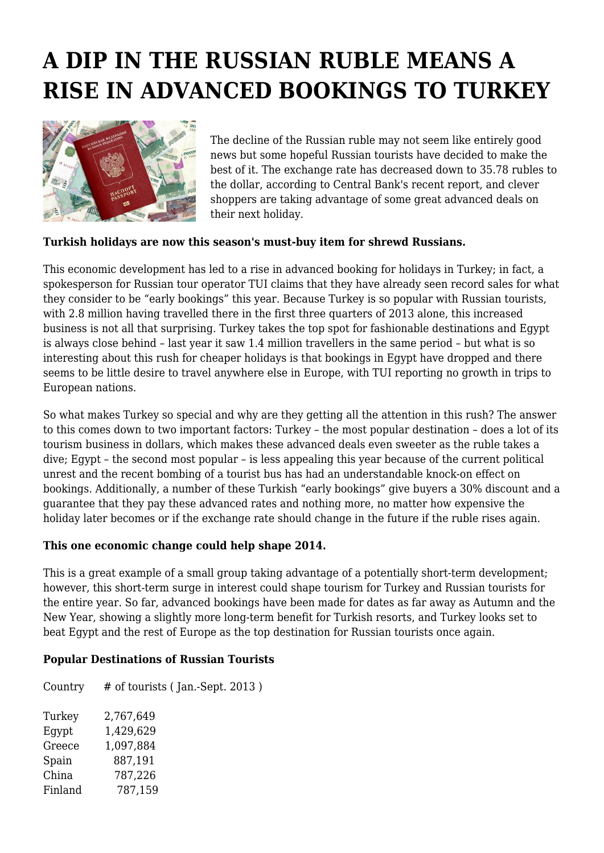## **A DIP IN THE RUSSIAN RUBLE MEANS A RISE IN ADVANCED BOOKINGS TO TURKEY**



The decline of the Russian ruble may not seem like entirely good news but some hopeful Russian tourists have decided to make the best of it. The exchange rate has decreased down to 35.78 rubles to the dollar, according to Central Bank's recent report, and clever shoppers are taking advantage of some great advanced deals on their next holiday.

## **Turkish holidays are now this season's must-buy item for shrewd Russians.**

This economic development has led to a rise in advanced booking for holidays in Turkey; in fact, a spokesperson for Russian tour operator TUI claims that they have already seen record sales for what they consider to be "early bookings" this year. Because Turkey is so popular with Russian tourists, with 2.8 million having travelled there in the first three quarters of 2013 alone, this increased business is not all that surprising. Turkey takes the top spot for fashionable destinations and Egypt is always close behind – last year it saw 1.4 million travellers in the same period – but what is so interesting about this rush for cheaper holidays is that bookings in Egypt have dropped and there seems to be little desire to travel anywhere else in Europe, with TUI reporting no growth in trips to European nations.

So what makes Turkey so special and why are they getting all the attention in this rush? The answer to this comes down to two important factors: Turkey – the most popular destination – does a lot of its tourism business in dollars, which makes these advanced deals even sweeter as the ruble takes a dive; Egypt – the second most popular – is less appealing this year because of the current political unrest and the recent bombing of a tourist bus has had an understandable knock-on effect on bookings. Additionally, a number of these Turkish "early bookings" give buyers a 30% discount and a guarantee that they pay these advanced rates and nothing more, no matter how expensive the holiday later becomes or if the exchange rate should change in the future if the ruble rises again.

## **This one economic change could help shape 2014.**

This is a great example of a small group taking advantage of a potentially short-term development; however, this short-term surge in interest could shape tourism for Turkey and Russian tourists for the entire year. So far, advanced bookings have been made for dates as far away as Autumn and the New Year, showing a slightly more long-term benefit for Turkish resorts, and Turkey looks set to beat Egypt and the rest of Europe as the top destination for Russian tourists once again.

## **Popular Destinations of Russian Tourists**

Country # of tourists ( Jan.-Sept. 2013 ) Turkey 2,767,649 Egypt 1,429,629 Greece 1,097,884 Spain 887,191 China 787,226 Finland 787,159